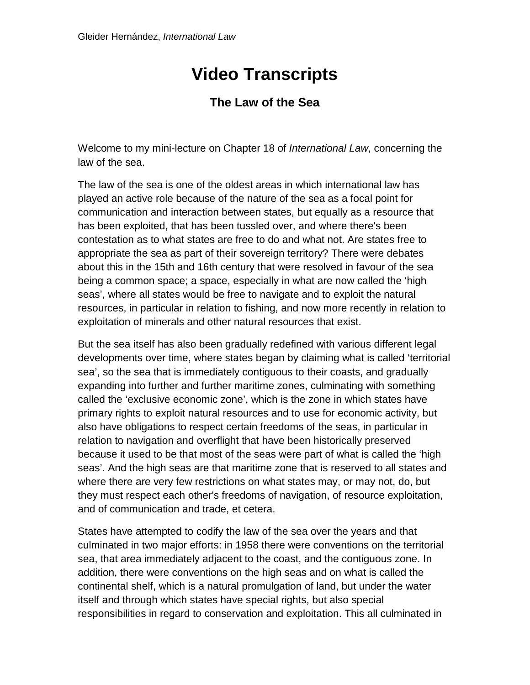## **Video Transcripts**

## **The Law of the Sea**

Welcome to my mini-lecture on Chapter 18 of *International Law*, concerning the law of the sea.

The law of the sea is one of the oldest areas in which international law has played an active role because of the nature of the sea as a focal point for communication and interaction between states, but equally as a resource that has been exploited, that has been tussled over, and where there's been contestation as to what states are free to do and what not. Are states free to appropriate the sea as part of their sovereign territory? There were debates about this in the 15th and 16th century that were resolved in favour of the sea being a common space; a space, especially in what are now called the 'high seas', where all states would be free to navigate and to exploit the natural resources, in particular in relation to fishing, and now more recently in relation to exploitation of minerals and other natural resources that exist.

But the sea itself has also been gradually redefined with various different legal developments over time, where states began by claiming what is called 'territorial sea', so the sea that is immediately contiguous to their coasts, and gradually expanding into further and further maritime zones, culminating with something called the 'exclusive economic zone', which is the zone in which states have primary rights to exploit natural resources and to use for economic activity, but also have obligations to respect certain freedoms of the seas, in particular in relation to navigation and overflight that have been historically preserved because it used to be that most of the seas were part of what is called the 'high seas'. And the high seas are that maritime zone that is reserved to all states and where there are very few restrictions on what states may, or may not, do, but they must respect each other's freedoms of navigation, of resource exploitation, and of communication and trade, et cetera.

States have attempted to codify the law of the sea over the years and that culminated in two major efforts: in 1958 there were conventions on the territorial sea, that area immediately adjacent to the coast, and the contiguous zone. In addition, there were conventions on the high seas and on what is called the continental shelf, which is a natural promulgation of land, but under the water itself and through which states have special rights, but also special responsibilities in regard to conservation and exploitation. This all culminated in